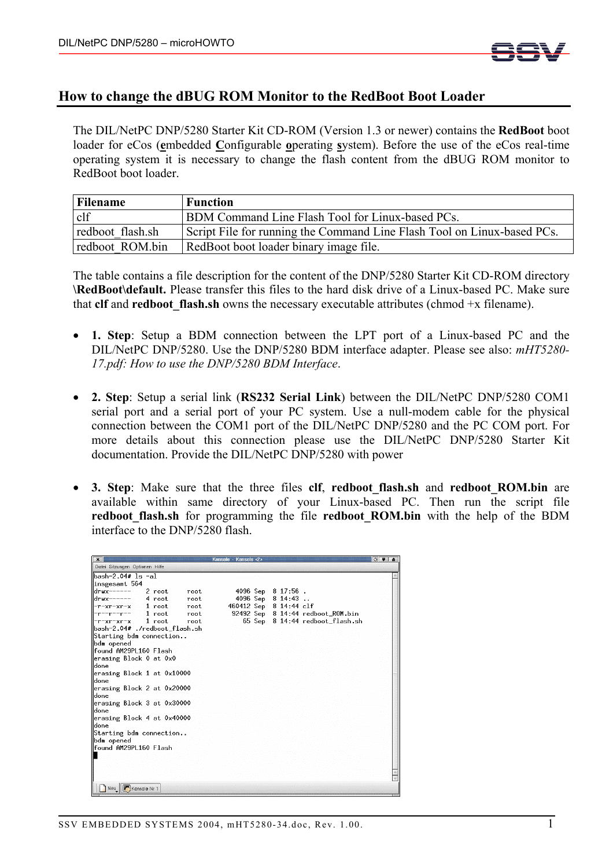

## **How to change the dBUG ROM Monitor to the RedBoot Boot Loader**

The DIL/NetPC DNP/5280 Starter Kit CD-ROM (Version 1.3 or newer) contains the **RedBoot** boot loader for eCos (**e**mbedded **C**onfigurable **o**perating **s**ystem). Before the use of the eCos real-time operating system it is necessary to change the flash content from the dBUG ROM monitor to RedBoot boot loader.

| Filename         | <b>Function</b>                                                         |
|------------------|-------------------------------------------------------------------------|
| clf              | BDM Command Line Flash Tool for Linux-based PCs.                        |
| redboot flash.sh | Script File for running the Command Line Flash Tool on Linux-based PCs. |
| redboot ROM.bin  | RedBoot boot loader binary image file.                                  |

The table contains a file description for the content of the DNP/5280 Starter Kit CD-ROM directory **\RedBoot\default.** Please transfer this files to the hard disk drive of a Linux-based PC. Make sure that  $\textbf{cf}$  and  $\textbf{redboot}$  flash.sh owns the necessary executable attributes (chmod +x filename).

- **1. Step**: Setup a BDM connection between the LPT port of a Linux-based PC and the DIL/NetPC DNP/5280. Use the DNP/5280 BDM interface adapter. Please see also: *mHT5280- 17.pdf: How to use the DNP/5280 BDM Interface*.
- **2. Step**: Setup a serial link (**RS232 Serial Link**) between the DIL/NetPC DNP/5280 COM1 serial port and a serial port of your PC system. Use a null-modem cable for the physical connection between the COM1 port of the DIL/NetPC DNP/5280 and the PC COM port. For more details about this connection please use the DIL/NetPC DNP/5280 Starter Kit documentation. Provide the DIL/NetPC DNP/5280 with power
- **3. Step**: Make sure that the three files **clf**, **redboot\_flash.sh** and **redboot\_ROM.bin** are available within same directory of your Linux-based PC. Then run the script file **redboot\_flash.sh** for programming the file **redboot\_ROM.bin** with the help of the BDM interface to the DNP/5280 flash.

| $\mathbf{x}$                        | Konsole - Konsole <2> |                                   | $\circ$ $\bullet$ $\bullet$ |  |  |
|-------------------------------------|-----------------------|-----------------------------------|-----------------------------|--|--|
| Datei Sitzungen Optionen Hilfe      |                       |                                   |                             |  |  |
| bash-2.04# ls -al                   |                       |                                   |                             |  |  |
| insgesamt 564                       |                       |                                   |                             |  |  |
| $drux-----$<br>2 root<br>root       |                       | 4096 Sep 8 17:56.                 |                             |  |  |
| $drux----2$ 4 root<br>root.         |                       | 4096 Sep 8 14:43                  |                             |  |  |
| -r-xr-xr-x   1 root<br>root.        |                       | 460412 Sep 8 14:44 clf            |                             |  |  |
| -r--r--r-- 1 root<br>root           |                       | 92492 Sep 8 14:44 redboot_ROM.bin |                             |  |  |
| -r-xr-xr-x   1 root<br>root         |                       | 65 Sep 8 14:44 redboot_flash.sh   |                             |  |  |
| bash-2.04# ./redboot flash.sh       |                       |                                   |                             |  |  |
| Starting bdm connection             |                       |                                   |                             |  |  |
| bdm opened                          |                       |                                   |                             |  |  |
| found AM29PL160 Flash               |                       |                                   |                             |  |  |
| erasing Block 0 at 0x0              |                       |                                   |                             |  |  |
| ldone                               |                       |                                   |                             |  |  |
| erasing Block 1 at 0x10000          |                       |                                   |                             |  |  |
| ldone                               |                       |                                   |                             |  |  |
| erasing Block 2 at 0x20000          |                       |                                   |                             |  |  |
| done                                |                       |                                   |                             |  |  |
| erasing Block 3 at 0x30000<br>ldone |                       |                                   |                             |  |  |
| erasing Block 4 at 0x40000          |                       |                                   |                             |  |  |
| ldone                               |                       |                                   |                             |  |  |
| Starting bdm connection             |                       |                                   |                             |  |  |
| bdm opened                          |                       |                                   |                             |  |  |
| found AM29PL160 Flash               |                       |                                   |                             |  |  |
|                                     |                       |                                   |                             |  |  |
|                                     |                       |                                   |                             |  |  |
|                                     |                       |                                   |                             |  |  |
|                                     |                       |                                   |                             |  |  |
| Neu Konsole Nr 1                    |                       |                                   |                             |  |  |
|                                     |                       |                                   |                             |  |  |